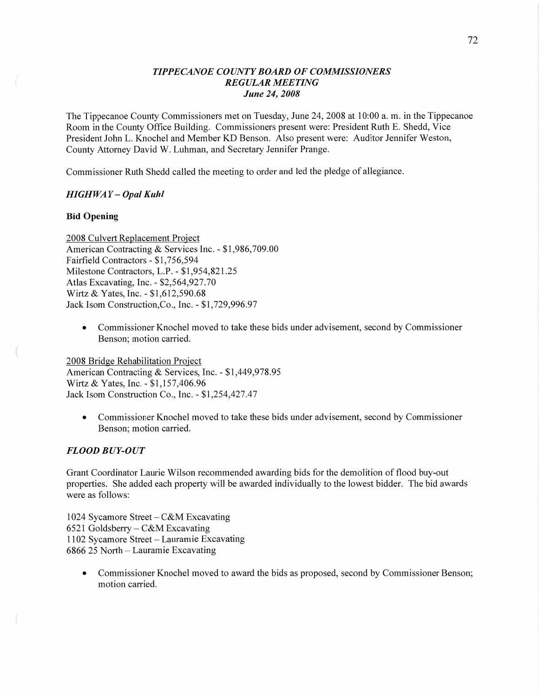## *TIPPECANOE COUNTY BOARD* OF *COMMISSIONERS REGULAR MEETING June* 24, *2008*

The Tippecanoe County Commissioners met on Tuesday, June 24, 2008 at 10:00 a. m. in the Tippecanoe Room in the County Office Building. Commissioners present were: President Ruth B. Shedd, Vice President John L. Knochel and Member KD Benson. Also present were: Auditor Jennifer Weston, County Attorney **David** W. Luhman, and Secretary Jennifer Prange.

Commissioner Ruth Shedd called the meeting to order and led the pledge of allegiance.

## *HIGH* WAY **—** *Opal Kuhl*

#### Bid **Opening**

2008 Culvert Replacement Proiect American Contracting & Services Inc. **-** \$1,986,709.00 Fairfield Contractors **-** \$1,756,594 Milestone Contractors, L.P. *-* \$1,954,821.25 Atlas Excavating, Inc. **—** \$2,564,927.70 Wittz & Yates, Inc. *-* \$1,612,590.68 Jack Isom Construction,Co., Inc. *-* \$1,729,996.97

**0** Commissioner Knochel moved to take these bids under advisement, second by Commissioner Benson; motion carried.

2008 Bridge Rehabilitation Project American Contracting & Services, Inc. *-* \$1,449,978.95 Wirtz & Yates, Inc. - \$1,157,406.96 Jack Isom Construction Co., **Inc. -** \$1,254,427.47

**0** Commissioner Knochel moved to take these bids under advisement, second by Commissioner Benson; motion carried.

# *FLOOD BUY-OUT*

Grant Coordinator Laurie Wilson recommended awarding bids for the demolition of flood buy-out properties. She added each property will be awarded individually to the lowest bidder. The bid awards were as follows:

1024 Sycamore Street — C&M Excavating 6521 Goldsberry — C&M Excavating 1102 Sycamore Street — Lauramie Excavating 6866 25 North — Lauramie Excavating

• Commissioner Knochel moved to award the bids as proposed, second by Commissioner Benson; motion carried.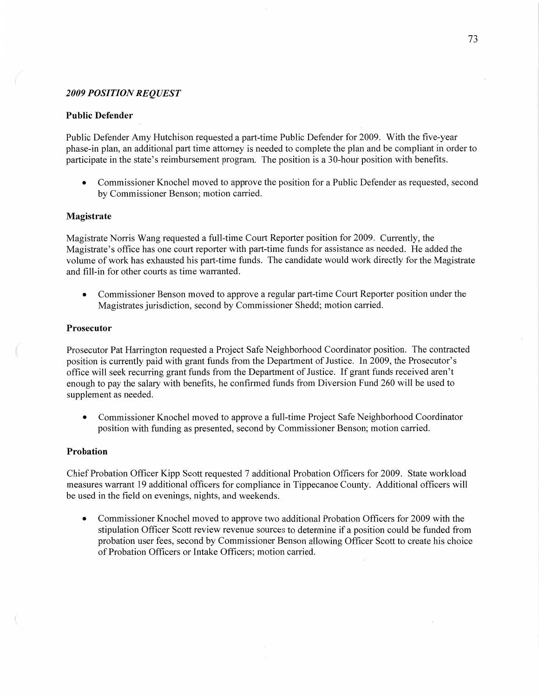#### *2009 POSITION REQUEST*

#### **Public Defender**

Public Defender Amy Hutchison requested a part-time Public Defender for 2009. With the five-year <sup>p</sup>hase-in plan, an additional part time attorney is needed to complete the plan and be compliant in order to participate in the state's reimbursement program. The position is a 30-hour position with benefits.

**0** Commissioner Knochel moved to approve the position for a Public Defender as requested, second by Commissioner Benson; motion carried.

#### **Magistrate**

Magistrate Norris Wang requested a full-time Court Reporter position for 2009. Currently, the Magistrate's office has one court reporter with part-time funds for assistance as needed. He added the volume of work has exhausted his part-time funds. The candidate would work directly for the Magistrate and fill-in for other courts as time warranted.

**0** Commissioner Benson moved to approve a regular part-time Court Reporter position under the Magistrates jurisdiction, second by Commissioner Shedd; motion carried.

#### **Prosecutor**

Prosecutor Pat Harrington requested **a** Project Safe Neighborhood Coordinator position. The contracted position is currently paid with grant funds from the Department of Justice. In 2009, the Prosecutor's office will seek recurring grant funds from the Department of Justice. If grant funds received aren't enough to pay the salary with benefits, he confirmed funds from Diversion Fund 260 will be used to supplement as needed.

**0** Commissioner Knochel moved to approve **a** full-time Project Safe Neighborhood Coordinator position with funding as presented, second by Commissioner Benson; motion carried.

## **Probation**

Chief Probation Officer Kipp Scott requested 7 additional Probation Officers for 2009. State workload measures warrant 19 additional officers for compliance in Tippecanoe County. Additional officers will be used in the field on evenings, nights, and weekends.

**0** Commissioner Knochel moved to approve two additional Probation Officers for 2009 with the stipulation Officer Scott review revenue sources to determine if a position could be fimded from probation user fees, second by Commissioner Benson allowing Officer Scott to create his choice of Probation Officers or Intake Officers; motion carried.